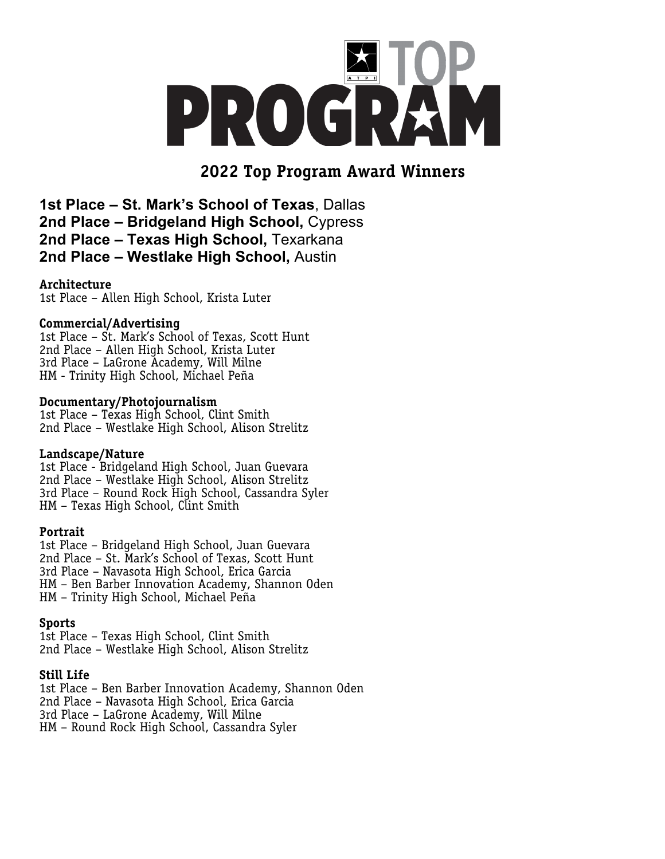

# **2022 Top Program Award Winners**

**1st Place – St. Mark's School of Texas**, Dallas **2nd Place – Bridgeland High School,** Cypress **2nd Place – Texas High School,** Texarkana **2nd Place – Westlake High School,** Austin

## **Architecture**

1st Place – Allen High School, Krista Luter

#### **Commercial/Advertising**

1st Place – St. Mark's School of Texas, Scott Hunt 2nd Place – Allen High School, Krista Luter 3rd Place – LaGrone Academy, Will Milne HM - Trinity High School, Michael Peña

## **Documentary/Photojournalism**

1st Place – Texas High School, Clint Smith 2nd Place – Westlake High School, Alison Strelitz

## **Landscape/Nature**

1st Place - Bridgeland High School, Juan Guevara 2nd Place – Westlake High School, Alison Strelitz 3rd Place – Round Rock High School, Cassandra Syler HM – Texas High School, Clint Smith

## **Portrait**

1st Place – Bridgeland High School, Juan Guevara 2nd Place – St. Mark's School of Texas, Scott Hunt 3rd Place – Navasota High School, Erica Garcia HM – Ben Barber Innovation Academy, Shannon Oden HM – Trinity High School, Michael Peña

# **Sports**

1st Place – Texas High School, Clint Smith 2nd Place – Westlake High School, Alison Strelitz

## **Still Life**

1st Place – Ben Barber Innovation Academy, Shannon Oden 2nd Place – Navasota High School, Erica Garcia 3rd Place – LaGrone Academy, Will Milne HM – Round Rock High School, Cassandra Syler